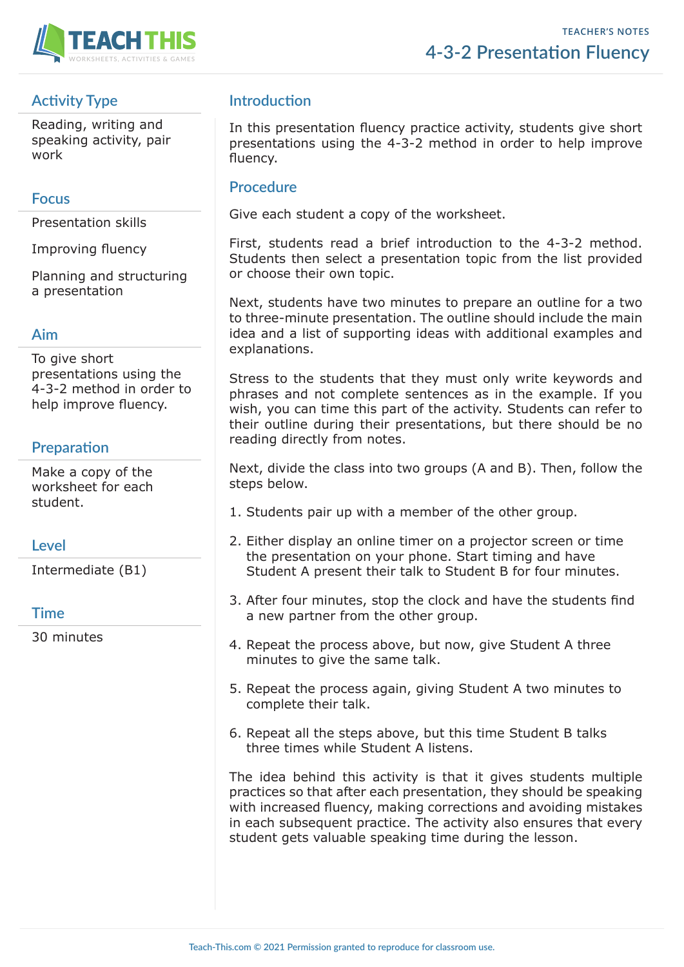

# **Activity Type**

Reading, writing and speaking activity, pair work

### **Focus**

Presentation skills

Improving fluency

Planning and structuring a presentation

### **Aim**

To give short presentations using the 4-3-2 method in order to help improve fluency.

## **Preparation**

Make a copy of the worksheet for each student.

## **Level**

Intermediate (B1)

## **Time**

30 minutes

# **Introduction**

In this presentation fluency practice activity, students give short presentations using the 4-3-2 method in order to help improve fluency.

### **Procedure**

Give each student a copy of the worksheet.

First, students read a brief introduction to the 4-3-2 method. Students then select a presentation topic from the list provided or choose their own topic.

Next, students have two minutes to prepare an outline for a two to three-minute presentation. The outline should include the main idea and a list of supporting ideas with additional examples and explanations.

Stress to the students that they must only write keywords and phrases and not complete sentences as in the example. If you wish, you can time this part of the activity. Students can refer to their outline during their presentations, but there should be no reading directly from notes.

Next, divide the class into two groups (A and B). Then, follow the steps below.

- 1. Students pair up with a member of the other group.
- 2. Either display an online timer on a projector screen or time the presentation on your phone. Start timing and have Student A present their talk to Student B for four minutes.
- 3. After four minutes, stop the clock and have the students find a new partner from the other group.
- 4. Repeat the process above, but now, give Student A three minutes to give the same talk.
- 5. Repeat the process again, giving Student A two minutes to complete their talk.
- 6. Repeat all the steps above, but this time Student B talks three times while Student A listens.

The idea behind this activity is that it gives students multiple practices so that after each presentation, they should be speaking with increased fluency, making corrections and avoiding mistakes in each subsequent practice. The activity also ensures that every student gets valuable speaking time during the lesson.